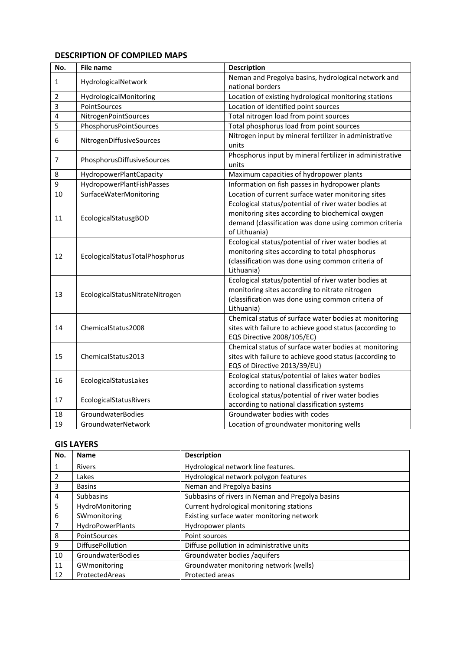#### **DESCRIPTION OF COMPILED MAPS**

| No. | <b>File name</b>                | <b>Description</b>                                                |
|-----|---------------------------------|-------------------------------------------------------------------|
| 1   | HydrologicalNetwork             | Neman and Pregolya basins, hydrological network and               |
|     |                                 | national borders                                                  |
| 2   | HydrologicalMonitoring          | Location of existing hydrological monitoring stations             |
| 3   | PointSources                    | Location of identified point sources                              |
| 4   | NitrogenPointSources            | Total nitrogen load from point sources                            |
| 5   | PhosphorusPointSources          | Total phosphorus load from point sources                          |
| 6   | NitrogenDiffusiveSources        | Nitrogen input by mineral fertilizer in administrative<br>units   |
| 7   | PhosphorusDiffusiveSources      | Phosphorus input by mineral fertilizer in administrative<br>units |
| 8   | HydropowerPlantCapacity         | Maximum capacities of hydropower plants                           |
| 9   | HydropowerPlantFishPasses       | Information on fish passes in hydropower plants                   |
| 10  | SurfaceWaterMonitoring          | Location of current surface water monitoring sites                |
|     | EcologicalStatusgBOD            | Ecological status/potential of river water bodies at              |
| 11  |                                 | monitoring sites according to biochemical oxygen                  |
|     |                                 | demand (classification was done using common criteria             |
|     |                                 | of Lithuania)                                                     |
|     | EcologicalStatusTotalPhosphorus | Ecological status/potential of river water bodies at              |
| 12  |                                 | monitoring sites according to total phosphorus                    |
|     |                                 | (classification was done using common criteria of                 |
|     |                                 | Lithuania)                                                        |
|     | EcologicalStatusNitrateNitrogen | Ecological status/potential of river water bodies at              |
| 13  |                                 | monitoring sites according to nitrate nitrogen                    |
|     |                                 | (classification was done using common criteria of                 |
|     |                                 | Lithuania)                                                        |
|     | ChemicalStatus2008              | Chemical status of surface water bodies at monitoring             |
| 14  |                                 | sites with failure to achieve good status (according to           |
|     |                                 | EQS Directive 2008/105/EC)                                        |
|     | ChemicalStatus2013              | Chemical status of surface water bodies at monitoring             |
| 15  |                                 | sites with failure to achieve good status (according to           |
|     |                                 | EQS of Directive 2013/39/EU)                                      |
| 16  | EcologicalStatusLakes           | Ecological status/potential of lakes water bodies                 |
|     |                                 | according to national classification systems                      |
| 17  | EcologicalStatusRivers          | Ecological status/potential of river water bodies                 |
|     |                                 | according to national classification systems                      |
| 18  | GroundwaterBodies               | Groundwater bodies with codes                                     |
| 19  | GroundwaterNetwork              | Location of groundwater monitoring wells                          |

## **GIS LAYERS**

| No.            | <b>Name</b>             | <b>Description</b>                               |
|----------------|-------------------------|--------------------------------------------------|
| $\mathbf{1}$   | Rivers                  | Hydrological network line features.              |
| $\overline{2}$ | Lakes                   | Hydrological network polygon features            |
| 3              | <b>Basins</b>           | Neman and Pregolya basins                        |
| $\overline{4}$ | Subbasins               | Subbasins of rivers in Neman and Pregolya basins |
| 5              | HydroMonitoring         | Current hydrological monitoring stations         |
| 6              | SWmonitoring            | Existing surface water monitoring network        |
| $\overline{7}$ | HydroPowerPlants        | Hydropower plants                                |
| 8              | <b>PointSources</b>     | Point sources                                    |
| 9              | <b>DiffusePollution</b> | Diffuse pollution in administrative units        |
| 10             | GroundwaterBodies       | Groundwater bodies /aquifers                     |
| 11             | GWmonitoring            | Groundwater monitoring network (wells)           |
| 12             | ProtectedAreas          | Protected areas                                  |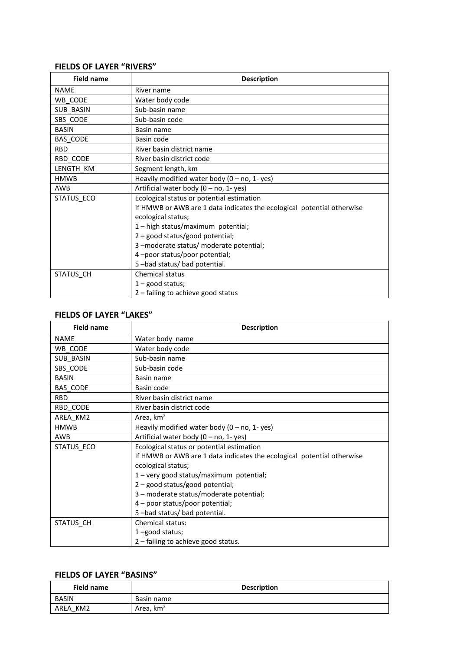#### **FIELDS OF LAYER "RIVERS"**

| <b>Field name</b> | <b>Description</b>                                                     |
|-------------------|------------------------------------------------------------------------|
| <b>NAME</b>       | River name                                                             |
| WB CODE           | Water body code                                                        |
| SUB_BASIN         | Sub-basin name                                                         |
| SBS CODE          | Sub-basin code                                                         |
| <b>BASIN</b>      | Basin name                                                             |
| <b>BAS CODE</b>   | Basin code                                                             |
| <b>RBD</b>        | River basin district name                                              |
| RBD CODE          | River basin district code                                              |
| LENGTH_KM         | Segment length, km                                                     |
| <b>HMWB</b>       | Heavily modified water body $(0 - no, 1 - yes)$                        |
| <b>AWB</b>        | Artificial water body (0 - no, 1- yes)                                 |
| STATUS ECO        | Ecological status or potential estimation                              |
|                   | If HMWB or AWB are 1 data indicates the ecological potential otherwise |
|                   | ecological status;                                                     |
|                   | 1-high status/maximum potential;                                       |
|                   | 2 - good status/good potential;                                        |
|                   | 3-moderate status/ moderate potential;                                 |
|                   | 4-poor status/poor potential;                                          |
|                   | 5-bad status/ bad potential.                                           |
| STATUS CH         | <b>Chemical status</b>                                                 |
|                   | $1 -$ good status;                                                     |
|                   | $2$ – failing to achieve good status                                   |

#### **FIELDS OF LAYER "LAKES"**

| <b>Field name</b> | <b>Description</b>                                                     |
|-------------------|------------------------------------------------------------------------|
| <b>NAME</b>       | Water body name                                                        |
| WB_CODE           | Water body code                                                        |
| SUB_BASIN         | Sub-basin name                                                         |
| SBS CODE          | Sub-basin code                                                         |
| <b>BASIN</b>      | Basin name                                                             |
| BAS CODE          | Basin code                                                             |
| <b>RBD</b>        | River basin district name                                              |
| RBD CODE          | River basin district code                                              |
| AREA KM2          | Area, km <sup>2</sup>                                                  |
| <b>HMWB</b>       | Heavily modified water body $(0 - no, 1 - yes)$                        |
| AWB               | Artificial water body $(0 - no, 1 - yes)$                              |
| STATUS_ECO        | Ecological status or potential estimation                              |
|                   | If HMWB or AWB are 1 data indicates the ecological potential otherwise |
|                   | ecological status;                                                     |
|                   | 1 - very good status/maximum potential;                                |
|                   | 2 - good status/good potential;                                        |
|                   | 3 – moderate status/moderate potential;                                |
|                   | 4 - poor status/poor potential;                                        |
|                   | 5-bad status/ bad potential.                                           |
| STATUS CH         | Chemical status:                                                       |
|                   | 1-good status;                                                         |
|                   | 2 - failing to achieve good status.                                    |

## **FIELDS OF LAYER "BASINS"**

| Field name   | <b>Description</b>    |
|--------------|-----------------------|
| <b>BASIN</b> | Basin name            |
| AREA KM2     | Area, km <sup>2</sup> |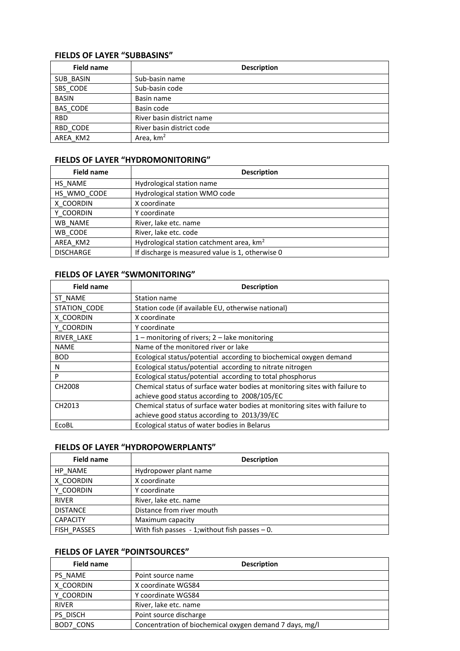#### **FIELDS OF LAYER "SUBBASINS"**

| <b>Field name</b> | <b>Description</b>        |
|-------------------|---------------------------|
| SUB BASIN         | Sub-basin name            |
| SBS_CODE          | Sub-basin code            |
| <b>BASIN</b>      | Basin name                |
| BAS CODE          | Basin code                |
| <b>RBD</b>        | River basin district name |
| RBD CODE          | River basin district code |
| AREA KM2          | Area, km <sup>2</sup>     |

### **FIELDS OF LAYER "HYDROMONITORING"**

| <b>Field name</b> | <b>Description</b>                                   |
|-------------------|------------------------------------------------------|
| HS NAME           | Hydrological station name                            |
| HS WMO CODE       | Hydrological station WMO code                        |
| X COORDIN         | X coordinate                                         |
| Y COORDIN         | Y coordinate                                         |
| WB NAME           | River, lake etc. name                                |
| WB CODE           | River, lake etc. code                                |
| AREA KM2          | Hydrological station catchment area, km <sup>2</sup> |
| <b>DISCHARGE</b>  | If discharge is measured value is 1, otherwise 0     |

### **FIELDS OF LAYER "SWMONITORING"**

| <b>Field name</b>  | <b>Description</b>                                                          |
|--------------------|-----------------------------------------------------------------------------|
| ST NAME            | Station name                                                                |
| STATION_CODE       | Station code (if available EU, otherwise national)                          |
| X COORDIN          | X coordinate                                                                |
| Y COORDIN          | Y coordinate                                                                |
| RIVER LAKE         | 1 – monitoring of rivers; $2$ – lake monitoring                             |
| <b>NAME</b>        | Name of the monitored river or lake                                         |
| <b>BOD</b>         | Ecological status/potential according to biochemical oxygen demand          |
| N                  | Ecological status/potential according to nitrate nitrogen                   |
| P                  | Ecological status/potential according to total phosphorus                   |
| CH2008             | Chemical status of surface water bodies at monitoring sites with failure to |
|                    | achieve good status according to 2008/105/EC                                |
| CH <sub>2013</sub> | Chemical status of surface water bodies at monitoring sites with failure to |
|                    | achieve good status according to 2013/39/EC                                 |
| EcoBL              | Ecological status of water bodies in Belarus                                |

## **FIELDS OF LAYER "HYDROPOWERPLANTS"**

| <b>Field name</b> | <b>Description</b>                                 |
|-------------------|----------------------------------------------------|
| HP NAME           | Hydropower plant name                              |
| X COORDIN         | X coordinate                                       |
| Y COORDIN         | Y coordinate                                       |
| <b>RIVER</b>      | River, lake etc. name                              |
| <b>DISTANCE</b>   | Distance from river mouth                          |
| <b>CAPACITY</b>   | Maximum capacity                                   |
| FISH PASSES       | With fish passes $-1$ ; without fish passes $-0$ . |

### **FIELDS OF LAYER "POINTSOURCES"**

| <b>Field name</b> | <b>Description</b>                                      |
|-------------------|---------------------------------------------------------|
| PS NAME           | Point source name                                       |
| X COORDIN         | X coordinate WGS84                                      |
| Y COORDIN         | Y coordinate WGS84                                      |
| <b>RIVER</b>      | River, lake etc. name                                   |
| PS DISCH          | Point source discharge                                  |
| BOD7 CONS         | Concentration of biochemical oxygen demand 7 days, mg/l |